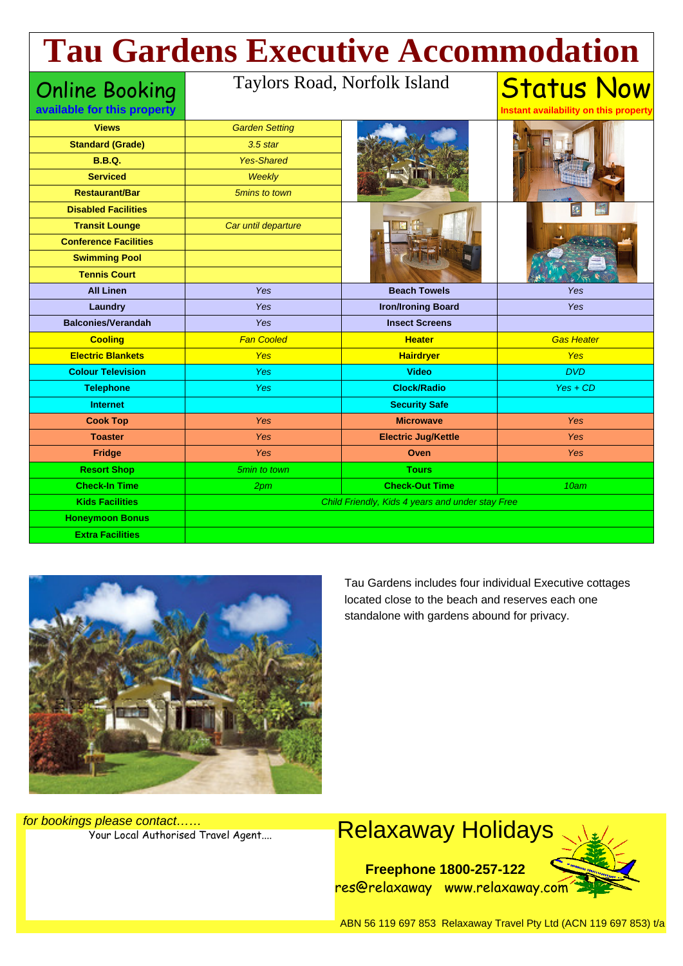# **Tau Gardens Executive Accommodation**

#### Online Booking

#### **available for this property**

#### Taylors Road, Norfolk Island

**Instant availability on this property**

Status Now

| <b>Views</b>                 | <b>Garden Setting</b> |                                                  |                   |
|------------------------------|-----------------------|--------------------------------------------------|-------------------|
| <b>Standard (Grade)</b>      | $3.5$ star            |                                                  |                   |
| <b>B.B.Q.</b>                | <b>Yes-Shared</b>     |                                                  |                   |
| <b>Serviced</b>              | Weekly                |                                                  |                   |
| <b>Restaurant/Bar</b>        | 5mins to town         |                                                  |                   |
| <b>Disabled Facilities</b>   |                       |                                                  |                   |
| <b>Transit Lounge</b>        | Car until departure   |                                                  |                   |
| <b>Conference Facilities</b> |                       |                                                  |                   |
| <b>Swimming Pool</b>         |                       |                                                  |                   |
| <b>Tennis Court</b>          |                       |                                                  |                   |
| <b>All Linen</b>             | Yes                   | <b>Beach Towels</b>                              | Yes               |
| Laundry                      | Yes                   | <b>Iron/Ironing Board</b>                        | Yes               |
| <b>Balconies/Verandah</b>    | <b>Yes</b>            | <b>Insect Screens</b>                            |                   |
| <b>Cooling</b>               | <b>Fan Cooled</b>     | <b>Heater</b>                                    | <b>Gas Heater</b> |
| <b>Electric Blankets</b>     | <b>Yes</b>            | <b>Hairdryer</b>                                 | <b>Yes</b>        |
|                              |                       |                                                  |                   |
| <b>Colour Television</b>     | <b>Yes</b>            | <b>Video</b>                                     | <b>DVD</b>        |
| <b>Telephone</b>             | <b>Yes</b>            | <b>Clock/Radio</b>                               | $Yes + CD$        |
| <b>Internet</b>              |                       | <b>Security Safe</b>                             |                   |
| <b>Cook Top</b>              | Yes                   | <b>Microwave</b>                                 | <b>Yes</b>        |
| <b>Toaster</b>               | Yes                   | <b>Electric Jug/Kettle</b>                       | <b>Yes</b>        |
| Fridge                       | Yes                   | Oven                                             | <b>Yes</b>        |
| <b>Resort Shop</b>           | 5min to town          | <b>Tours</b>                                     |                   |
| <b>Check-In Time</b>         | 2 <sub>pm</sub>       | <b>Check-Out Time</b>                            | 10am              |
| <b>Kids Facilities</b>       |                       | Child Friendly, Kids 4 years and under stay Free |                   |
| <b>Honeymoon Bonus</b>       |                       |                                                  |                   |



Tau Gardens includes four individual Executive cottages located close to the beach and reserves each one standalone with gardens abound for privacy.

for bookings please contact……